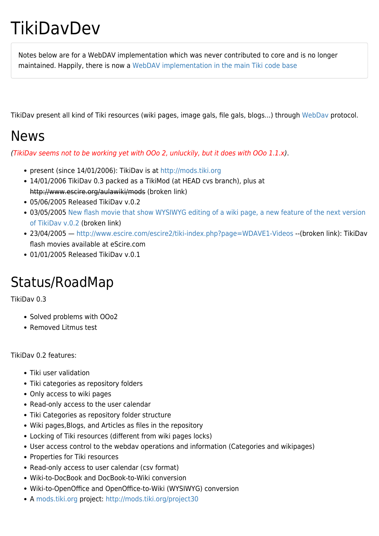# **TikiDavDev**

Notes below are for a WebDAV implementation which was never contributed to core and is no longer maintained. Happily, there is now a [WebDAV implementation in the main Tiki code base](http://doc.tiki.org/WebDAV)

TikiDav present all kind of Tiki resources (wiki pages, image gals, file gals, blogs...) through [WebDav](http://www.webdav.org) protocol.

### News

(TikiDav seems not to be working yet with OOo 2, unluckily, but it does with OOo 1.1.x).

- present (since 14/01/2006): TikiDav is at [http://mods.tiki.org](http://mods.tiki.org/details.php?type=features&mod=tikidav)
- 14/01/2006 TikiDav 0.3 packed as a TikiMod (at HEAD cvs branch), plus at http://www.escire.org/aulawiki/mods (broken link)
- 05/06/2005 Released TikiDav v.0.2
- 03/05/2005 [New flash movie that show WYSIWYG editing of a wiki page, a new feature of the next version](http://www.escire.com/escire2/tiki-index.php?page_ref_id=110) [of TikiDav v.0.2](http://www.escire.com/escire2/tiki-index.php?page_ref_id=110) (broken link)
- 23/04/2005 —<http://www.escire.com/escire2/tiki-index.php?page=WDAVE1-Videos>--(broken link): TikiDav flash movies available at eScire.com
- 01/01/2005 Released TikiDav v.0.1

## Status/RoadMap

TikiDav 0.3

- Solved problems with OOo2
- Removed Litmus test

TikiDav 0.2 features:

- Tiki user validation
- Tiki categories as repository folders
- Only access to wiki pages
- Read-only access to the user calendar
- Tiki Categories as repository folder structure
- Wiki pages,Blogs, and Articles as files in the repository
- Locking of Tiki resources (different from wiki pages locks)
- User access control to the webdav operations and information (Categories and wikipages)
- Properties for Tiki resources
- Read-only access to user calendar (csv format)
- Wiki-to-DocBook and DocBook-to-Wiki conversion
- Wiki-to-OpenOffice and OpenOffice-to-Wiki (WYSIWYG) conversion
- A [mods.tiki.org](https://tiki.org/mods.tiki.org) project:<http://mods.tiki.org/project30>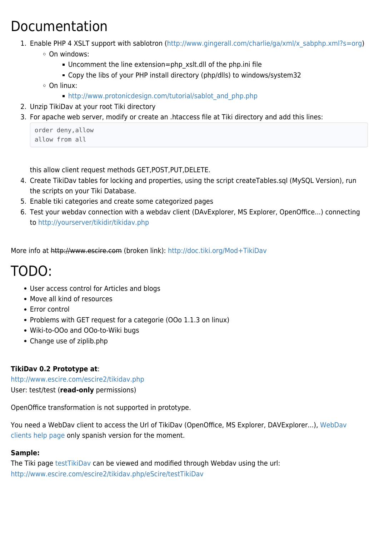## Documentation

- 1. Enable PHP 4 XSLT support with sablotron ([http://www.gingerall.com/charlie/ga/xml/x\\_sabphp.xml?s=org\)](http://www.gingerall.com/charlie/ga/xml/x_sabphp.xml?s=org)
	- On windows:
		- Uncomment the line extension=php\_xslt.dll of the php.ini file
		- Copy the libs of your PHP install directory (php/dlls) to windows/system32
	- On linux:
		- [http://www.protonicdesign.com/tutorial/sablot\\_and\\_php.php](http://www.protonicdesign.com/tutorial/sablot_and_php.php)
- 2. Unzip TikiDav at your root Tiki directory
- 3. For apache web server, modify or create an .htaccess file at Tiki directory and add this lines:

```
order deny,allow
allow from all
```
this allow client request methods GET,POST,PUT,DELETE.

- 4. Create TikiDav tables for locking and properties, using the script createTables.sql (MySQL Version), run the scripts on your Tiki Database.
- 5. Enable tiki categories and create some categorized pages
- 6. Test your webdav connection with a webdav client (DAvExplorer, MS Explorer, OpenOffice...) connecting to<http://yourserver/tikidir/tikidav.php>

More info at http://www.escire.com (broken link): <http://doc.tiki.org/Mod+TikiDav>

## TODO:

- User access control for Articles and blogs
- Move all kind of resources
- Error control
- Problems with GET request for a categorie (OOo 1.1.3 on linux)
- Wiki-to-OOo and OOo-to-Wiki bugs
- Change use of ziplib.php

### **TikiDav 0.2 Prototype at**:

<http://www.escire.com/escire2/tikidav.php> User: test/test (**read-only** permissions)

OpenOffice transformation is not supported in prototype.

You need a [WebDav](http://www.escire.com/escire2/tiki-index.php?page=AYUDE1-TikiDav) client to access the Url of TikiDav (OpenOffice, MS Explorer, DAVExplorer...), WebDav [clients help page](http://www.escire.com/escire2/tiki-index.php?page=AYUDE1-TikiDav) only spanish version for the moment.

#### **Sample:**

The Tiki page [testTikiDav](http://www.escire.com/escire2/tiki-index.php?page=testTikiDav) can be viewed and modified through Webdav using the url: <http://www.escire.com/escire2/tikidav.php/eScire/testTikiDav>